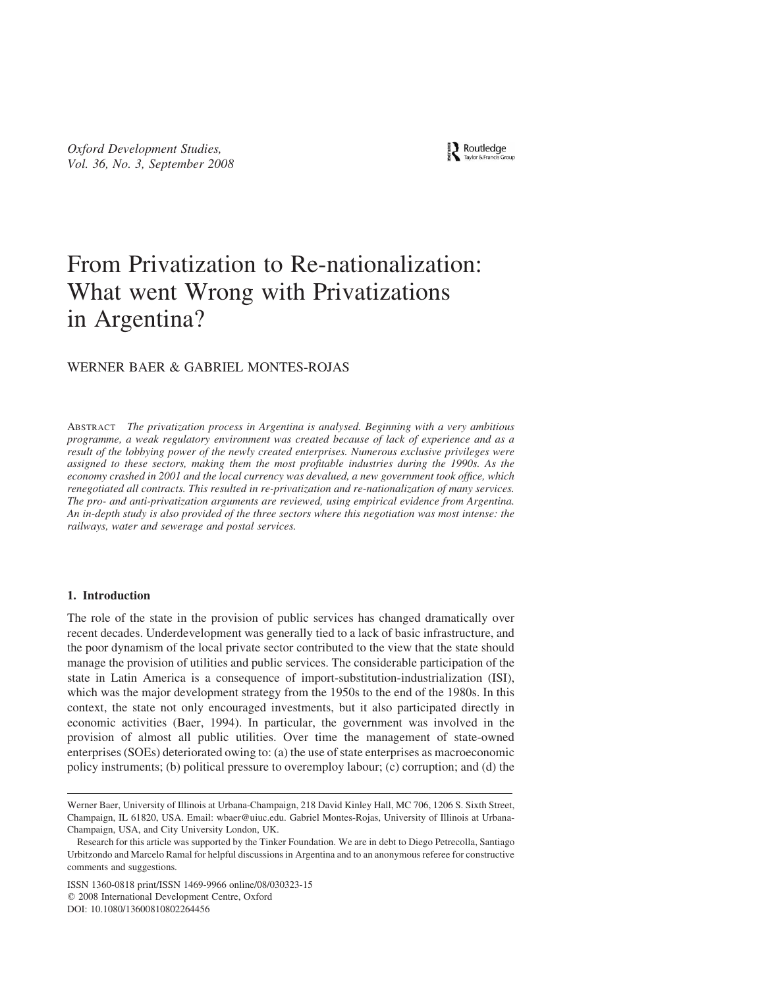# From Privatization to Re-nationalization: What went Wrong with Privatizations in Argentina?

# WERNER BAER & GABRIEL MONTES-ROJAS

ABSTRACT The privatization process in Argentina is analysed. Beginning with a very ambitious programme, a weak regulatory environment was created because of lack of experience and as a result of the lobbying power of the newly created enterprises. Numerous exclusive privileges were assigned to these sectors, making them the most profitable industries during the 1990s. As the economy crashed in 2001 and the local currency was devalued, a new government took office, which renegotiated all contracts. This resulted in re-privatization and re-nationalization of many services. The pro- and anti-privatization arguments are reviewed, using empirical evidence from Argentina. An in-depth study is also provided of the three sectors where this negotiation was most intense: the railways, water and sewerage and postal services.

#### 1. Introduction

The role of the state in the provision of public services has changed dramatically over recent decades. Underdevelopment was generally tied to a lack of basic infrastructure, and the poor dynamism of the local private sector contributed to the view that the state should manage the provision of utilities and public services. The considerable participation of the state in Latin America is a consequence of import-substitution-industrialization (ISI), which was the major development strategy from the 1950s to the end of the 1980s. In this context, the state not only encouraged investments, but it also participated directly in economic activities (Baer, 1994). In particular, the government was involved in the provision of almost all public utilities. Over time the management of state-owned enterprises (SOEs) deteriorated owing to: (a) the use of state enterprises as macroeconomic policy instruments; (b) political pressure to overemploy labour; (c) corruption; and (d) the

Werner Baer, University of Illinois at Urbana-Champaign, 218 David Kinley Hall, MC 706, 1206 S. Sixth Street, Champaign, IL 61820, USA. Email: wbaer@uiuc.edu. Gabriel Montes-Rojas, University of Illinois at Urbana-Champaign, USA, and City University London, UK.

Research for this article was supported by the Tinker Foundation. We are in debt to Diego Petrecolla, Santiago Urbitzondo and Marcelo Ramal for helpful discussions in Argentina and to an anonymous referee for constructive comments and suggestions.

ISSN 1360-0818 print/ISSN 1469-9966 online/08/030323-15  $© 2008 International Development Centre, Oxford$ DOI: 10.1080/13600810802264456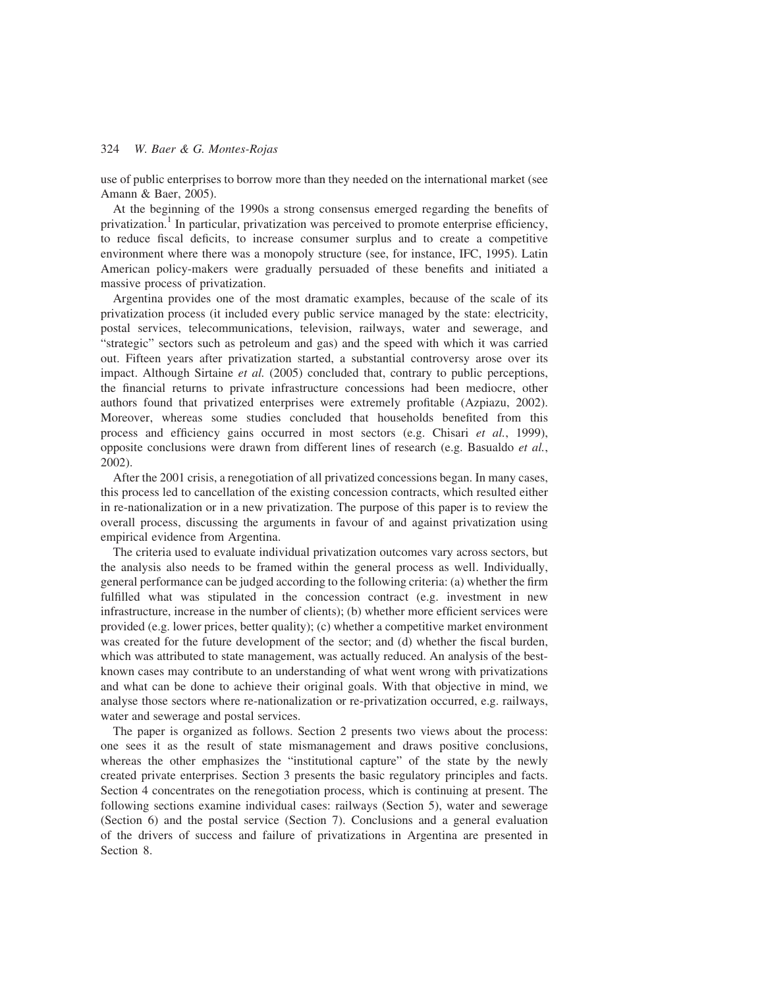use of public enterprises to borrow more than they needed on the international market (see Amann & Baer, 2005).

At the beginning of the 1990s a strong consensus emerged regarding the benefits of privatization.<sup>1</sup> In particular, privatization was perceived to promote enterprise efficiency, to reduce fiscal deficits, to increase consumer surplus and to create a competitive environment where there was a monopoly structure (see, for instance, IFC, 1995). Latin American policy-makers were gradually persuaded of these benefits and initiated a massive process of privatization.

Argentina provides one of the most dramatic examples, because of the scale of its privatization process (it included every public service managed by the state: electricity, postal services, telecommunications, television, railways, water and sewerage, and "strategic" sectors such as petroleum and gas) and the speed with which it was carried out. Fifteen years after privatization started, a substantial controversy arose over its impact. Although Sirtaine et al. (2005) concluded that, contrary to public perceptions, the financial returns to private infrastructure concessions had been mediocre, other authors found that privatized enterprises were extremely profitable (Azpiazu, 2002). Moreover, whereas some studies concluded that households benefited from this process and efficiency gains occurred in most sectors (e.g. Chisari et al., 1999), opposite conclusions were drawn from different lines of research (e.g. Basualdo et al., 2002).

After the 2001 crisis, a renegotiation of all privatized concessions began. In many cases, this process led to cancellation of the existing concession contracts, which resulted either in re-nationalization or in a new privatization. The purpose of this paper is to review the overall process, discussing the arguments in favour of and against privatization using empirical evidence from Argentina.

The criteria used to evaluate individual privatization outcomes vary across sectors, but the analysis also needs to be framed within the general process as well. Individually, general performance can be judged according to the following criteria: (a) whether the firm fulfilled what was stipulated in the concession contract (e.g. investment in new infrastructure, increase in the number of clients); (b) whether more efficient services were provided (e.g. lower prices, better quality); (c) whether a competitive market environment was created for the future development of the sector; and (d) whether the fiscal burden, which was attributed to state management, was actually reduced. An analysis of the bestknown cases may contribute to an understanding of what went wrong with privatizations and what can be done to achieve their original goals. With that objective in mind, we analyse those sectors where re-nationalization or re-privatization occurred, e.g. railways, water and sewerage and postal services.

The paper is organized as follows. Section 2 presents two views about the process: one sees it as the result of state mismanagement and draws positive conclusions, whereas the other emphasizes the "institutional capture" of the state by the newly created private enterprises. Section 3 presents the basic regulatory principles and facts. Section 4 concentrates on the renegotiation process, which is continuing at present. The following sections examine individual cases: railways (Section 5), water and sewerage (Section 6) and the postal service (Section 7). Conclusions and a general evaluation of the drivers of success and failure of privatizations in Argentina are presented in Section 8.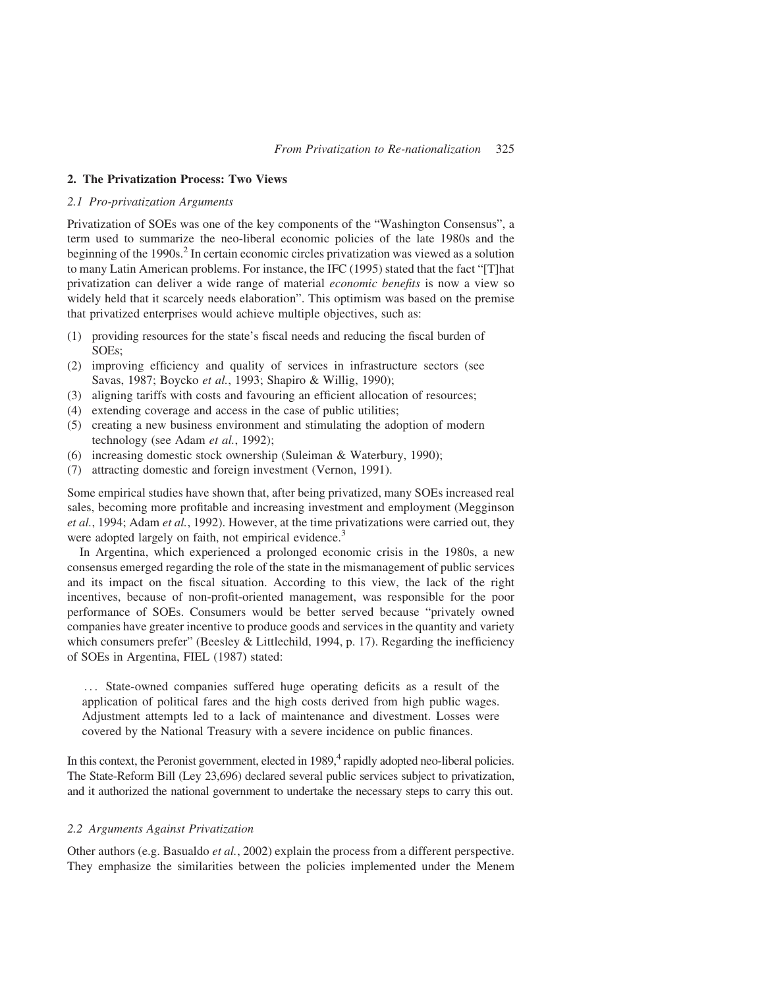#### 2. The Privatization Process: Two Views

#### 2.1 Pro-privatization Arguments

Privatization of SOEs was one of the key components of the "Washington Consensus", a term used to summarize the neo-liberal economic policies of the late 1980s and the beginning of the 1990s.<sup>2</sup> In certain economic circles privatization was viewed as a solution to many Latin American problems. For instance, the IFC (1995) stated that the fact "[T]hat privatization can deliver a wide range of material economic benefits is now a view so widely held that it scarcely needs elaboration". This optimism was based on the premise that privatized enterprises would achieve multiple objectives, such as:

- (1) providing resources for the state's fiscal needs and reducing the fiscal burden of SOEs;
- (2) improving efficiency and quality of services in infrastructure sectors (see Savas, 1987; Boycko et al., 1993; Shapiro & Willig, 1990);
- (3) aligning tariffs with costs and favouring an efficient allocation of resources;
- (4) extending coverage and access in the case of public utilities;
- (5) creating a new business environment and stimulating the adoption of modern technology (see Adam et al., 1992);
- (6) increasing domestic stock ownership (Suleiman & Waterbury, 1990);
- (7) attracting domestic and foreign investment (Vernon, 1991).

Some empirical studies have shown that, after being privatized, many SOEs increased real sales, becoming more profitable and increasing investment and employment (Megginson et al., 1994; Adam et al., 1992). However, at the time privatizations were carried out, they were adopted largely on faith, not empirical evidence.<sup>3</sup>

In Argentina, which experienced a prolonged economic crisis in the 1980s, a new consensus emerged regarding the role of the state in the mismanagement of public services and its impact on the fiscal situation. According to this view, the lack of the right incentives, because of non-profit-oriented management, was responsible for the poor performance of SOEs. Consumers would be better served because "privately owned companies have greater incentive to produce goods and services in the quantity and variety which consumers prefer" (Beesley & Littlechild, 1994, p. 17). Regarding the inefficiency of SOEs in Argentina, FIEL (1987) stated:

... State-owned companies suffered huge operating deficits as a result of the application of political fares and the high costs derived from high public wages. Adjustment attempts led to a lack of maintenance and divestment. Losses were covered by the National Treasury with a severe incidence on public finances.

In this context, the Peronist government, elected in 1989,<sup>4</sup> rapidly adopted neo-liberal policies. The State-Reform Bill (Ley 23,696) declared several public services subject to privatization, and it authorized the national government to undertake the necessary steps to carry this out.

## 2.2 Arguments Against Privatization

Other authors (e.g. Basualdo et al., 2002) explain the process from a different perspective. They emphasize the similarities between the policies implemented under the Menem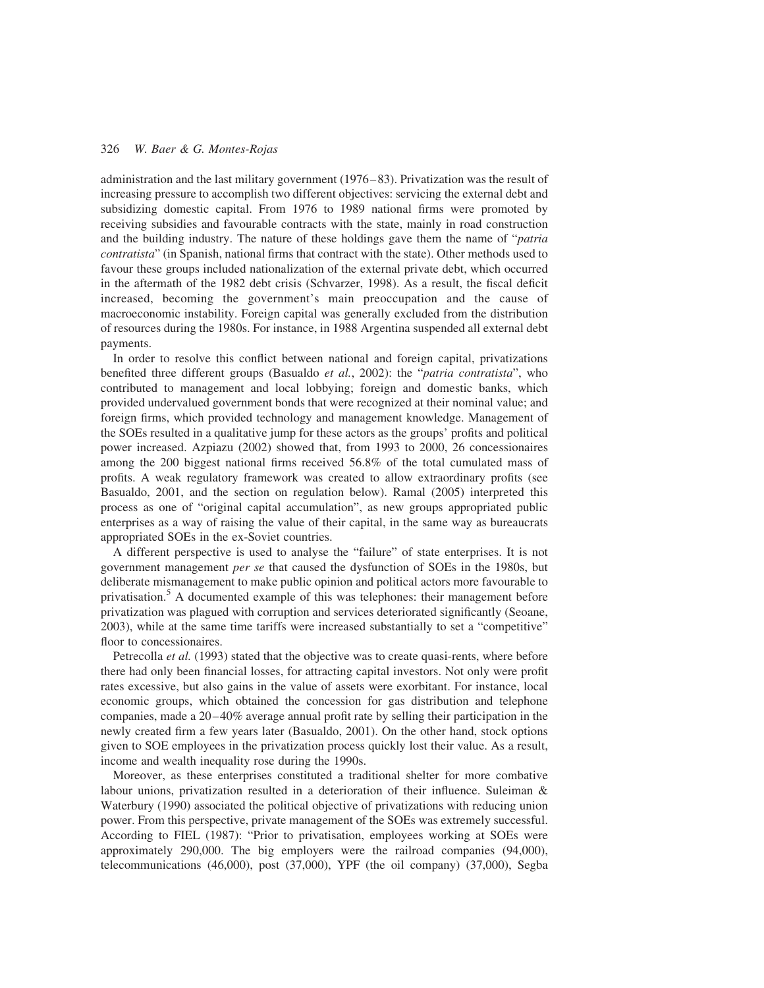administration and the last military government (1976 – 83). Privatization was the result of increasing pressure to accomplish two different objectives: servicing the external debt and subsidizing domestic capital. From 1976 to 1989 national firms were promoted by receiving subsidies and favourable contracts with the state, mainly in road construction and the building industry. The nature of these holdings gave them the name of "*patria* contratista" (in Spanish, national firms that contract with the state). Other methods used to favour these groups included nationalization of the external private debt, which occurred in the aftermath of the 1982 debt crisis (Schvarzer, 1998). As a result, the fiscal deficit increased, becoming the government's main preoccupation and the cause of macroeconomic instability. Foreign capital was generally excluded from the distribution of resources during the 1980s. For instance, in 1988 Argentina suspended all external debt payments.

In order to resolve this conflict between national and foreign capital, privatizations benefited three different groups (Basualdo et al., 2002): the "patria contratista", who contributed to management and local lobbying; foreign and domestic banks, which provided undervalued government bonds that were recognized at their nominal value; and foreign firms, which provided technology and management knowledge. Management of the SOEs resulted in a qualitative jump for these actors as the groups' profits and political power increased. Azpiazu (2002) showed that, from 1993 to 2000, 26 concessionaires among the 200 biggest national firms received 56.8% of the total cumulated mass of profits. A weak regulatory framework was created to allow extraordinary profits (see Basualdo, 2001, and the section on regulation below). Ramal (2005) interpreted this process as one of "original capital accumulation", as new groups appropriated public enterprises as a way of raising the value of their capital, in the same way as bureaucrats appropriated SOEs in the ex-Soviet countries.

A different perspective is used to analyse the "failure" of state enterprises. It is not government management per se that caused the dysfunction of SOEs in the 1980s, but deliberate mismanagement to make public opinion and political actors more favourable to privatisation.<sup>5</sup> A documented example of this was telephones: their management before privatization was plagued with corruption and services deteriorated significantly (Seoane, 2003), while at the same time tariffs were increased substantially to set a "competitive" floor to concessionaires.

Petrecolla *et al.* (1993) stated that the objective was to create quasi-rents, where before there had only been financial losses, for attracting capital investors. Not only were profit rates excessive, but also gains in the value of assets were exorbitant. For instance, local economic groups, which obtained the concession for gas distribution and telephone companies, made a  $20-40\%$  average annual profit rate by selling their participation in the newly created firm a few years later (Basualdo, 2001). On the other hand, stock options given to SOE employees in the privatization process quickly lost their value. As a result, income and wealth inequality rose during the 1990s.

Moreover, as these enterprises constituted a traditional shelter for more combative labour unions, privatization resulted in a deterioration of their influence. Suleiman & Waterbury (1990) associated the political objective of privatizations with reducing union power. From this perspective, private management of the SOEs was extremely successful. According to FIEL (1987): "Prior to privatisation, employees working at SOEs were approximately 290,000. The big employers were the railroad companies (94,000), telecommunications (46,000), post (37,000), YPF (the oil company) (37,000), Segba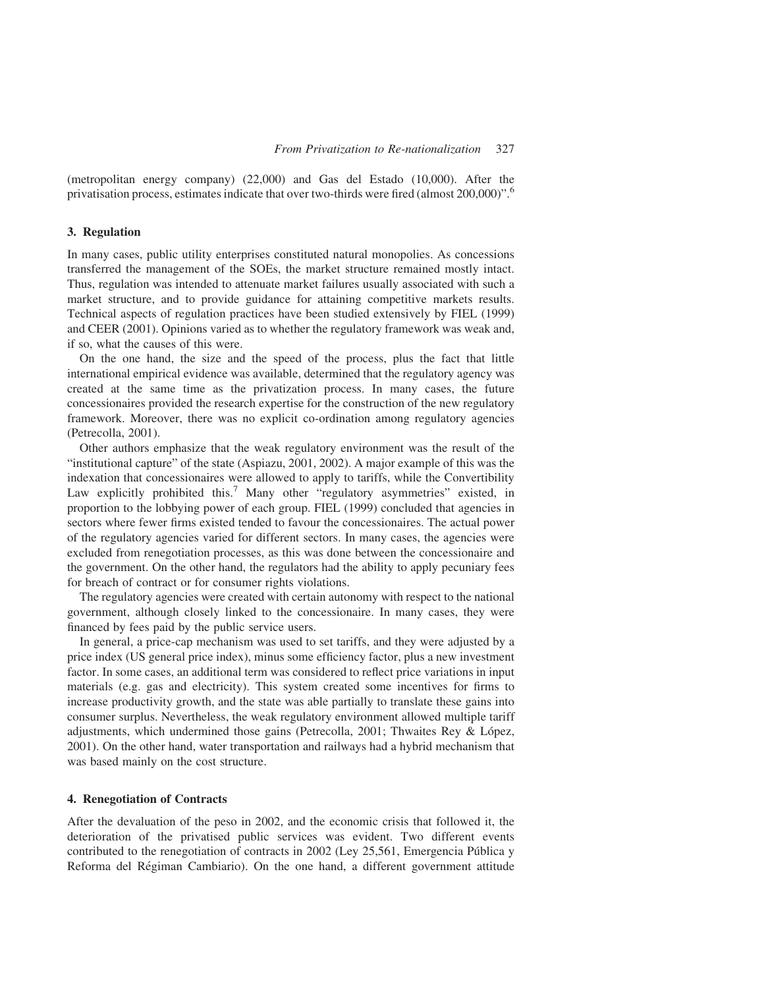(metropolitan energy company) (22,000) and Gas del Estado (10,000). After the privatisation process, estimates indicate that over two-thirds were fired (almost 200,000)".<sup>6</sup>

#### 3. Regulation

In many cases, public utility enterprises constituted natural monopolies. As concessions transferred the management of the SOEs, the market structure remained mostly intact. Thus, regulation was intended to attenuate market failures usually associated with such a market structure, and to provide guidance for attaining competitive markets results. Technical aspects of regulation practices have been studied extensively by FIEL (1999) and CEER (2001). Opinions varied as to whether the regulatory framework was weak and, if so, what the causes of this were.

On the one hand, the size and the speed of the process, plus the fact that little international empirical evidence was available, determined that the regulatory agency was created at the same time as the privatization process. In many cases, the future concessionaires provided the research expertise for the construction of the new regulatory framework. Moreover, there was no explicit co-ordination among regulatory agencies (Petrecolla, 2001).

Other authors emphasize that the weak regulatory environment was the result of the "institutional capture" of the state (Aspiazu, 2001, 2002). A major example of this was the indexation that concessionaires were allowed to apply to tariffs, while the Convertibility Law explicitly prohibited this.<sup>7</sup> Many other "regulatory asymmetries" existed, in proportion to the lobbying power of each group. FIEL (1999) concluded that agencies in sectors where fewer firms existed tended to favour the concessionaires. The actual power of the regulatory agencies varied for different sectors. In many cases, the agencies were excluded from renegotiation processes, as this was done between the concessionaire and the government. On the other hand, the regulators had the ability to apply pecuniary fees for breach of contract or for consumer rights violations.

The regulatory agencies were created with certain autonomy with respect to the national government, although closely linked to the concessionaire. In many cases, they were financed by fees paid by the public service users.

In general, a price-cap mechanism was used to set tariffs, and they were adjusted by a price index (US general price index), minus some efficiency factor, plus a new investment factor. In some cases, an additional term was considered to reflect price variations in input materials (e.g. gas and electricity). This system created some incentives for firms to increase productivity growth, and the state was able partially to translate these gains into consumer surplus. Nevertheless, the weak regulatory environment allowed multiple tariff adjustments, which undermined those gains (Petrecolla, 2001; Thwaites Rey  $&$  López, 2001). On the other hand, water transportation and railways had a hybrid mechanism that was based mainly on the cost structure.

#### 4. Renegotiation of Contracts

After the devaluation of the peso in 2002, and the economic crisis that followed it, the deterioration of the privatised public services was evident. Two different events contributed to the renegotiation of contracts in 2002 (Ley 25,561, Emergencia Pública y Reforma del Régiman Cambiario). On the one hand, a different government attitude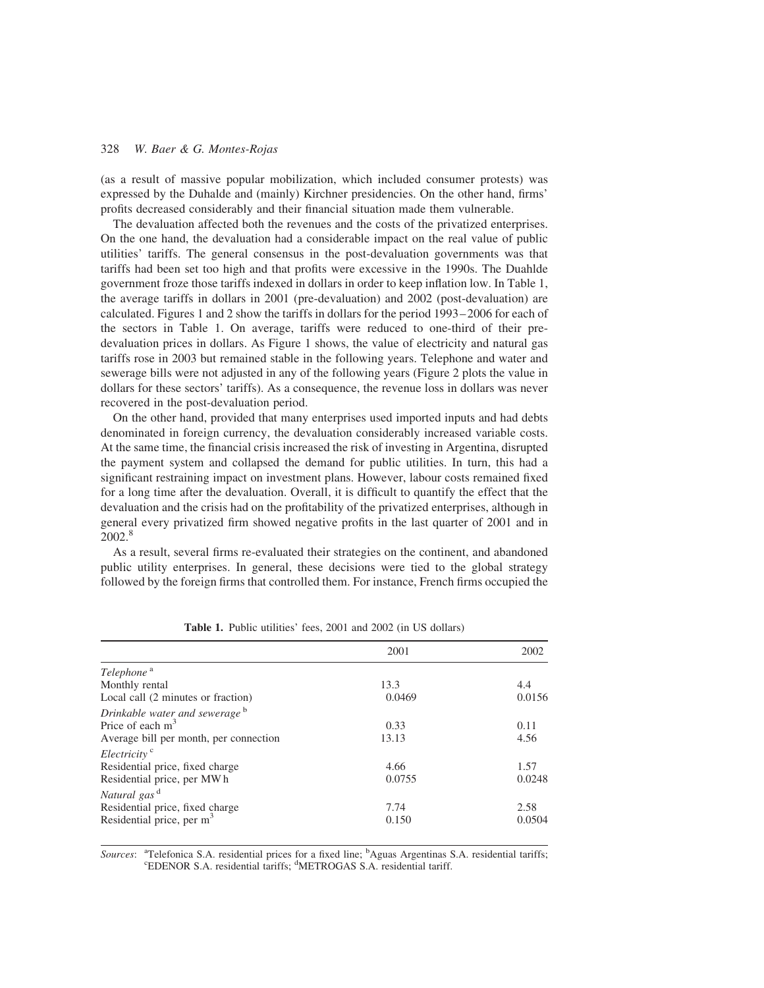(as a result of massive popular mobilization, which included consumer protests) was expressed by the Duhalde and (mainly) Kirchner presidencies. On the other hand, firms' profits decreased considerably and their financial situation made them vulnerable.

The devaluation affected both the revenues and the costs of the privatized enterprises. On the one hand, the devaluation had a considerable impact on the real value of public utilities' tariffs. The general consensus in the post-devaluation governments was that tariffs had been set too high and that profits were excessive in the 1990s. The Duahlde government froze those tariffs indexed in dollars in order to keep inflation low. In Table 1, the average tariffs in dollars in 2001 (pre-devaluation) and 2002 (post-devaluation) are calculated. Figures 1 and 2 show the tariffs in dollars for the period 1993 – 2006 for each of the sectors in Table 1. On average, tariffs were reduced to one-third of their predevaluation prices in dollars. As Figure 1 shows, the value of electricity and natural gas tariffs rose in 2003 but remained stable in the following years. Telephone and water and sewerage bills were not adjusted in any of the following years (Figure 2 plots the value in dollars for these sectors' tariffs). As a consequence, the revenue loss in dollars was never recovered in the post-devaluation period.

On the other hand, provided that many enterprises used imported inputs and had debts denominated in foreign currency, the devaluation considerably increased variable costs. At the same time, the financial crisis increased the risk of investing in Argentina, disrupted the payment system and collapsed the demand for public utilities. In turn, this had a significant restraining impact on investment plans. However, labour costs remained fixed for a long time after the devaluation. Overall, it is difficult to quantify the effect that the devaluation and the crisis had on the profitability of the privatized enterprises, although in general every privatized firm showed negative profits in the last quarter of 2001 and in 2002<sup>8</sup>

As a result, several firms re-evaluated their strategies on the continent, and abandoned public utility enterprises. In general, these decisions were tied to the global strategy followed by the foreign firms that controlled them. For instance, French firms occupied the

|                                        | 2001   | 2002   |
|----------------------------------------|--------|--------|
| Telephone <sup>a</sup>                 |        |        |
| Monthly rental                         | 13.3   | 4.4    |
| Local call (2 minutes or fraction)     | 0.0469 | 0.0156 |
| Drinkable water and sewerage b         |        |        |
| Price of each $m3$                     | 0.33   | 0.11   |
| Average bill per month, per connection | 13.13  | 4.56   |
| Electricity <sup>c</sup>               |        |        |
| Residential price, fixed charge        | 4.66   | 1.57   |
| Residential price, per MWh             | 0.0755 | 0.0248 |
| Natural gas <sup>d</sup>               |        |        |
| Residential price, fixed charge        | 7.74   | 2.58   |
| Residential price, per $m3$            | 0.150  | 0.0504 |
|                                        |        |        |

Table 1. Public utilities' fees, 2001 and 2002 (in US dollars)

Sources: <sup>a</sup> Telefonica S.A. residential prices for a fixed line; <sup>b</sup>Aguas Argentinas S.A. residential tariffs; c<sub>DDENO</sub> S.A. residential tariffs; EDENOR S.A. residential tariffs; <sup>d</sup>METROGAS S.A. residential tariff.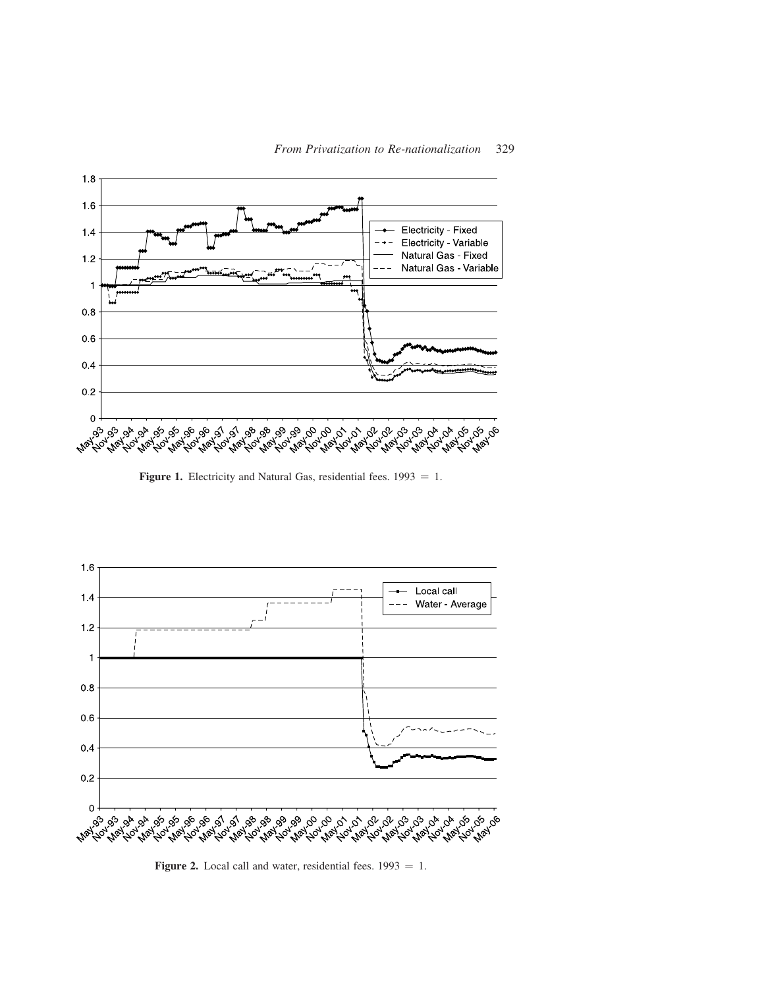



Figure 1. Electricity and Natural Gas, residential fees.  $1993 = 1$ .



Figure 2. Local call and water, residential fees.  $1993 = 1$ .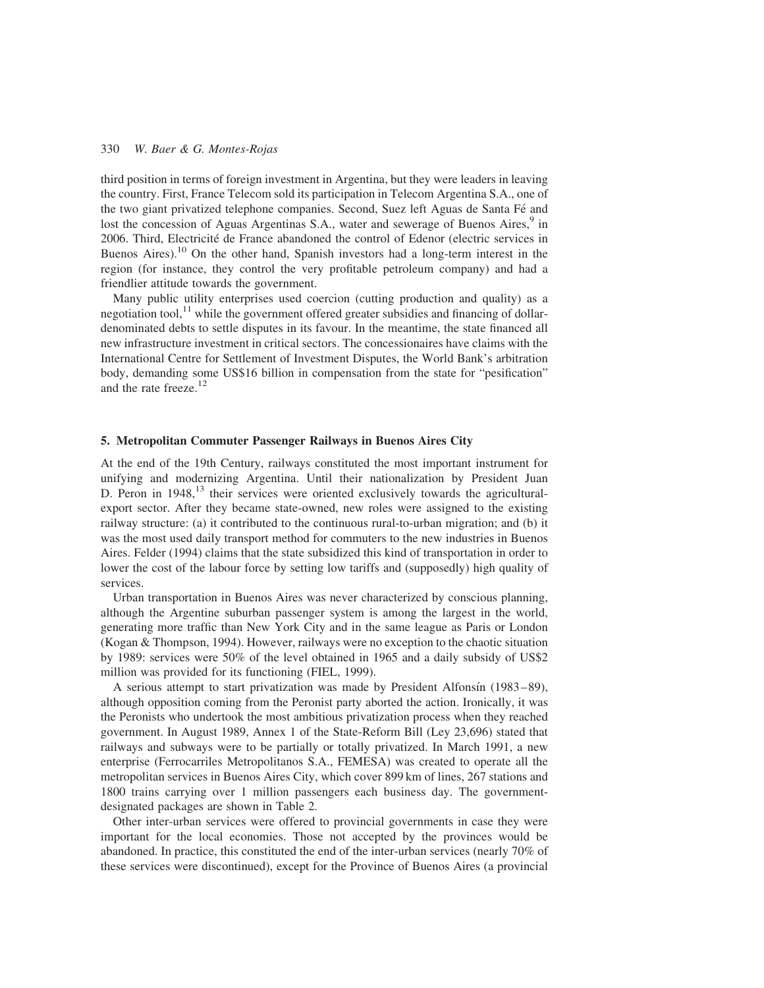third position in terms of foreign investment in Argentina, but they were leaders in leaving the country. First, France Telecom sold its participation in Telecom Argentina S.A., one of the two giant privatized telephone companies. Second, Suez left Aguas de Santa Fé and lost the concession of Aguas Argentinas S.A., water and sewerage of Buenos Aires, $9$  in 2006. Third, Electricité de France abandoned the control of Edenor (electric services in Buenos Aires).<sup>10</sup> On the other hand, Spanish investors had a long-term interest in the region (for instance, they control the very profitable petroleum company) and had a friendlier attitude towards the government.

Many public utility enterprises used coercion (cutting production and quality) as a negotiation tool,<sup>11</sup> while the government offered greater subsidies and financing of dollardenominated debts to settle disputes in its favour. In the meantime, the state financed all new infrastructure investment in critical sectors. The concessionaires have claims with the International Centre for Settlement of Investment Disputes, the World Bank's arbitration body, demanding some US\$16 billion in compensation from the state for "pesification" and the rate freeze. $12$ 

#### 5. Metropolitan Commuter Passenger Railways in Buenos Aires City

At the end of the 19th Century, railways constituted the most important instrument for unifying and modernizing Argentina. Until their nationalization by President Juan D. Peron in  $1948$ ,<sup>13</sup> their services were oriented exclusively towards the agriculturalexport sector. After they became state-owned, new roles were assigned to the existing railway structure: (a) it contributed to the continuous rural-to-urban migration; and (b) it was the most used daily transport method for commuters to the new industries in Buenos Aires. Felder (1994) claims that the state subsidized this kind of transportation in order to lower the cost of the labour force by setting low tariffs and (supposedly) high quality of services.

Urban transportation in Buenos Aires was never characterized by conscious planning, although the Argentine suburban passenger system is among the largest in the world, generating more traffic than New York City and in the same league as Paris or London (Kogan & Thompson, 1994). However, railways were no exception to the chaotic situation by 1989: services were 50% of the level obtained in 1965 and a daily subsidy of US\$2 million was provided for its functioning (FIEL, 1999).

A serious attempt to start privatization was made by President Alfonsin (1983–89), although opposition coming from the Peronist party aborted the action. Ironically, it was the Peronists who undertook the most ambitious privatization process when they reached government. In August 1989, Annex 1 of the State-Reform Bill (Ley 23,696) stated that railways and subways were to be partially or totally privatized. In March 1991, a new enterprise (Ferrocarriles Metropolitanos S.A., FEMESA) was created to operate all the metropolitan services in Buenos Aires City, which cover 899 km of lines, 267 stations and 1800 trains carrying over 1 million passengers each business day. The governmentdesignated packages are shown in Table 2.

Other inter-urban services were offered to provincial governments in case they were important for the local economies. Those not accepted by the provinces would be abandoned. In practice, this constituted the end of the inter-urban services (nearly 70% of these services were discontinued), except for the Province of Buenos Aires (a provincial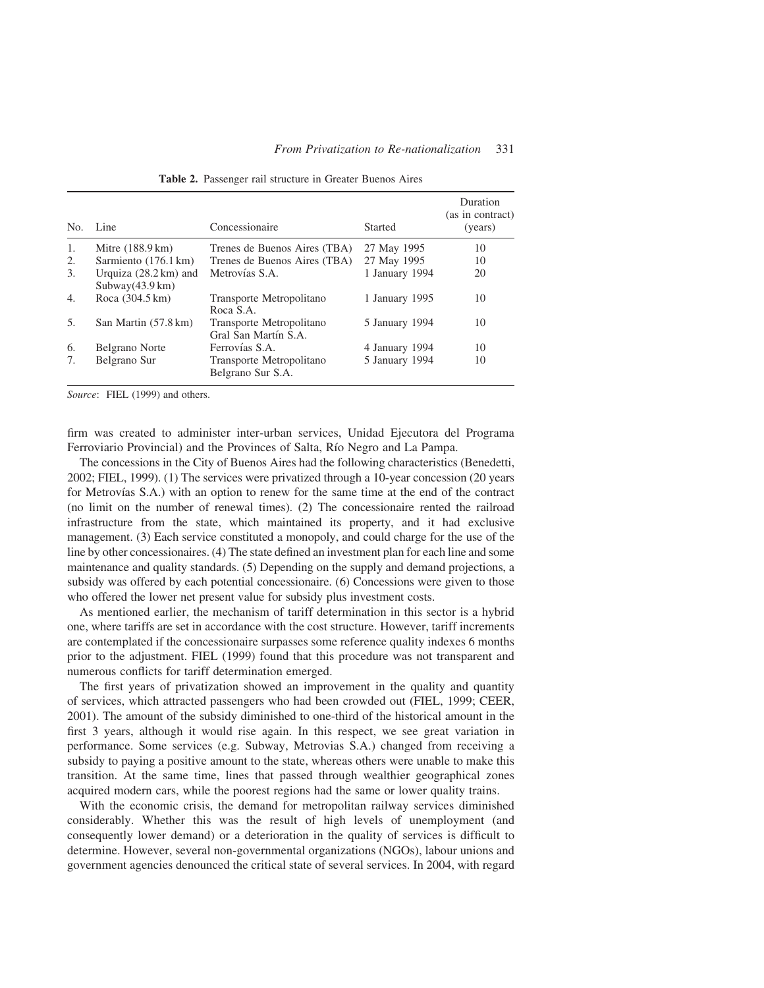| N <sub>0</sub> | Line                                               | Concessionaire                                   | Started        | Duration<br>(as in contract)<br>(years) |
|----------------|----------------------------------------------------|--------------------------------------------------|----------------|-----------------------------------------|
| 1.             | Mitre $(188.9 \text{ km})$                         | Trenes de Buenos Aires (TBA)                     | 27 May 1995    | 10                                      |
| 2.             | Sarmiento (176.1 km)                               | Trenes de Buenos Aires (TBA)                     | 27 May 1995    | 10                                      |
| 3.             | Urquiza $(28.2 \text{ km})$ and<br>Subway(43.9 km) | Metrovías S.A.                                   | 1 January 1994 | 20                                      |
| 4.             | Roca (304.5 km)                                    | Transporte Metropolitano<br>Roca S.A.            | 1 January 1995 | 10                                      |
| .5.            | San Martin (57.8 km)                               | Transporte Metropolitano<br>Gral San Martín S.A. | 5 January 1994 | 10                                      |
| 6.             | Belgrano Norte                                     | Ferrovías S.A.                                   | 4 January 1994 | 10                                      |
| 7.             | Belgrano Sur                                       | Transporte Metropolitano<br>Belgrano Sur S.A.    | 5 January 1994 | 10                                      |

| Table 2. Passenger rail structure in Greater Buenos Aires |  |  |  |  |  |  |
|-----------------------------------------------------------|--|--|--|--|--|--|
|-----------------------------------------------------------|--|--|--|--|--|--|

Source: FIEL (1999) and others.

firm was created to administer inter-urban services, Unidad Ejecutora del Programa Ferroviario Provincial) and the Provinces of Salta, Río Negro and La Pampa.

The concessions in the City of Buenos Aires had the following characteristics (Benedetti, 2002; FIEL, 1999). (1) The services were privatized through a 10-year concession (20 years for Metrovías S.A.) with an option to renew for the same time at the end of the contract (no limit on the number of renewal times). (2) The concessionaire rented the railroad infrastructure from the state, which maintained its property, and it had exclusive management. (3) Each service constituted a monopoly, and could charge for the use of the line by other concessionaires. (4) The state defined an investment plan for each line and some maintenance and quality standards. (5) Depending on the supply and demand projections, a subsidy was offered by each potential concessionaire. (6) Concessions were given to those who offered the lower net present value for subsidy plus investment costs.

As mentioned earlier, the mechanism of tariff determination in this sector is a hybrid one, where tariffs are set in accordance with the cost structure. However, tariff increments are contemplated if the concessionaire surpasses some reference quality indexes 6 months prior to the adjustment. FIEL (1999) found that this procedure was not transparent and numerous conflicts for tariff determination emerged.

The first years of privatization showed an improvement in the quality and quantity of services, which attracted passengers who had been crowded out (FIEL, 1999; CEER, 2001). The amount of the subsidy diminished to one-third of the historical amount in the first 3 years, although it would rise again. In this respect, we see great variation in performance. Some services (e.g. Subway, Metrovias S.A.) changed from receiving a subsidy to paying a positive amount to the state, whereas others were unable to make this transition. At the same time, lines that passed through wealthier geographical zones acquired modern cars, while the poorest regions had the same or lower quality trains.

With the economic crisis, the demand for metropolitan railway services diminished considerably. Whether this was the result of high levels of unemployment (and consequently lower demand) or a deterioration in the quality of services is difficult to determine. However, several non-governmental organizations (NGOs), labour unions and government agencies denounced the critical state of several services. In 2004, with regard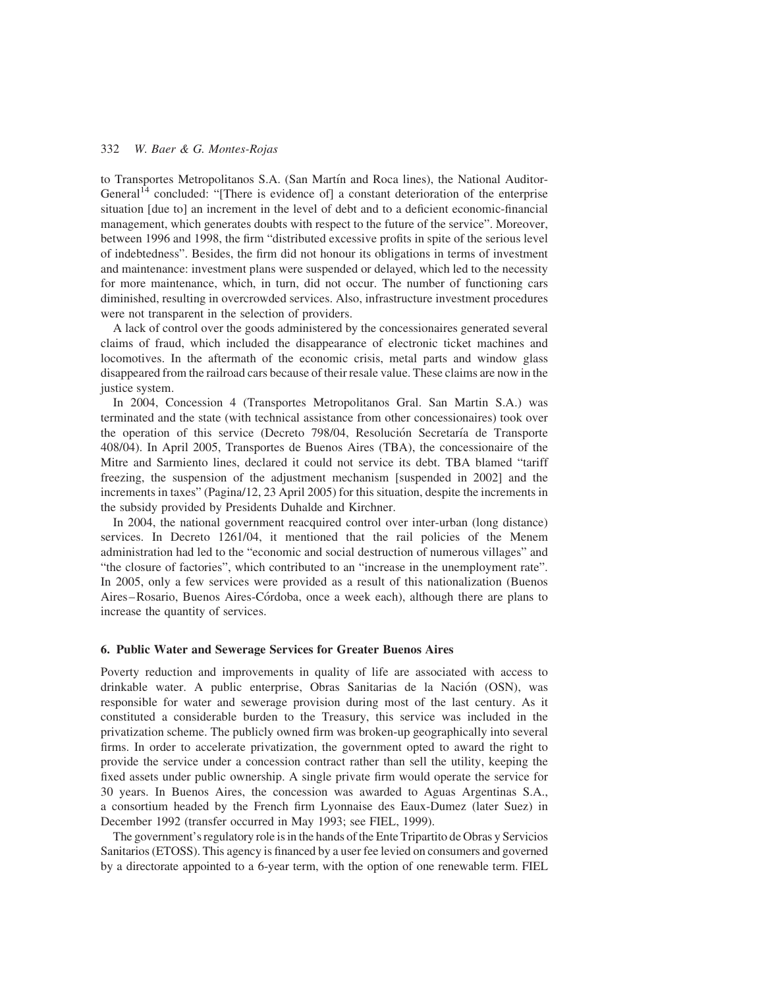to Transportes Metropolitanos S.A. (San Martín and Roca lines), the National Auditor-General<sup>14</sup> concluded: "[There is evidence of] a constant deterioration of the enterprise situation [due to] an increment in the level of debt and to a deficient economic-financial management, which generates doubts with respect to the future of the service". Moreover, between 1996 and 1998, the firm "distributed excessive profits in spite of the serious level of indebtedness". Besides, the firm did not honour its obligations in terms of investment and maintenance: investment plans were suspended or delayed, which led to the necessity for more maintenance, which, in turn, did not occur. The number of functioning cars diminished, resulting in overcrowded services. Also, infrastructure investment procedures were not transparent in the selection of providers.

A lack of control over the goods administered by the concessionaires generated several claims of fraud, which included the disappearance of electronic ticket machines and locomotives. In the aftermath of the economic crisis, metal parts and window glass disappeared from the railroad cars because of their resale value. These claims are now in the justice system.

In 2004, Concession 4 (Transportes Metropolitanos Gral. San Martin S.A.) was terminated and the state (with technical assistance from other concessionaires) took over the operation of this service (Decreto 798/04, Resolución Secretaría de Transporte 408/04). In April 2005, Transportes de Buenos Aires (TBA), the concessionaire of the Mitre and Sarmiento lines, declared it could not service its debt. TBA blamed "tariff freezing, the suspension of the adjustment mechanism [suspended in 2002] and the increments in taxes" (Pagina/12, 23 April 2005) for this situation, despite the increments in the subsidy provided by Presidents Duhalde and Kirchner.

In 2004, the national government reacquired control over inter-urban (long distance) services. In Decreto 1261/04, it mentioned that the rail policies of the Menem administration had led to the "economic and social destruction of numerous villages" and "the closure of factories", which contributed to an "increase in the unemployment rate". In 2005, only a few services were provided as a result of this nationalization (Buenos Aires –Rosario, Buenos Aires-Co´rdoba, once a week each), although there are plans to increase the quantity of services.

#### 6. Public Water and Sewerage Services for Greater Buenos Aires

Poverty reduction and improvements in quality of life are associated with access to drinkable water. A public enterprise, Obras Sanitarias de la Nación (OSN), was responsible for water and sewerage provision during most of the last century. As it constituted a considerable burden to the Treasury, this service was included in the privatization scheme. The publicly owned firm was broken-up geographically into several firms. In order to accelerate privatization, the government opted to award the right to provide the service under a concession contract rather than sell the utility, keeping the fixed assets under public ownership. A single private firm would operate the service for 30 years. In Buenos Aires, the concession was awarded to Aguas Argentinas S.A., a consortium headed by the French firm Lyonnaise des Eaux-Dumez (later Suez) in December 1992 (transfer occurred in May 1993; see FIEL, 1999).

The government's regulatory role is in the hands of the Ente Tripartito de Obras y Servicios Sanitarios (ETOSS). This agency is financed by a user fee levied on consumers and governed by a directorate appointed to a 6-year term, with the option of one renewable term. FIEL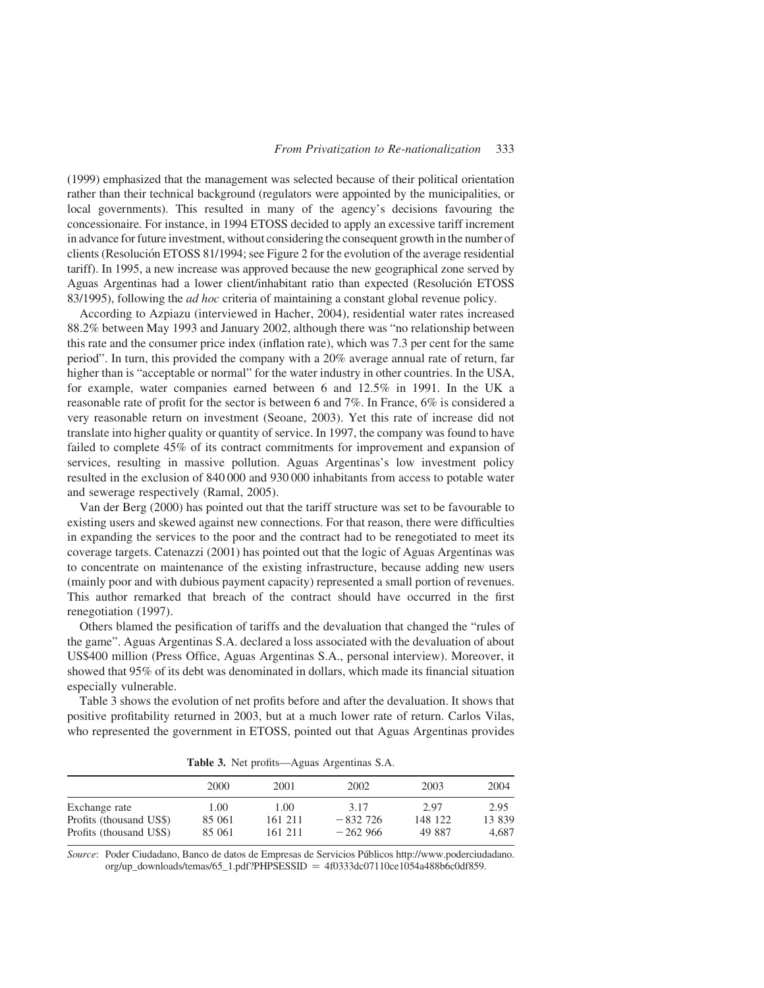(1999) emphasized that the management was selected because of their political orientation rather than their technical background (regulators were appointed by the municipalities, or local governments). This resulted in many of the agency's decisions favouring the concessionaire. For instance, in 1994 ETOSS decided to apply an excessive tariff increment in advance for future investment, without considering the consequent growth in the number of clients (Resolución ETOSS 81/1994; see Figure 2 for the evolution of the average residential tariff). In 1995, a new increase was approved because the new geographical zone served by Aguas Argentinas had a lower client/inhabitant ratio than expected (Resolución ETOSS 83/1995), following the *ad hoc* criteria of maintaining a constant global revenue policy.

According to Azpiazu (interviewed in Hacher, 2004), residential water rates increased 88.2% between May 1993 and January 2002, although there was "no relationship between this rate and the consumer price index (inflation rate), which was 7.3 per cent for the same period". In turn, this provided the company with a 20% average annual rate of return, far higher than is "acceptable or normal" for the water industry in other countries. In the USA, for example, water companies earned between 6 and 12.5% in 1991. In the UK a reasonable rate of profit for the sector is between 6 and 7%. In France, 6% is considered a very reasonable return on investment (Seoane, 2003). Yet this rate of increase did not translate into higher quality or quantity of service. In 1997, the company was found to have failed to complete 45% of its contract commitments for improvement and expansion of services, resulting in massive pollution. Aguas Argentinas's low investment policy resulted in the exclusion of 840 000 and 930 000 inhabitants from access to potable water and sewerage respectively (Ramal, 2005).

Van der Berg (2000) has pointed out that the tariff structure was set to be favourable to existing users and skewed against new connections. For that reason, there were difficulties in expanding the services to the poor and the contract had to be renegotiated to meet its coverage targets. Catenazzi (2001) has pointed out that the logic of Aguas Argentinas was to concentrate on maintenance of the existing infrastructure, because adding new users (mainly poor and with dubious payment capacity) represented a small portion of revenues. This author remarked that breach of the contract should have occurred in the first renegotiation (1997).

Others blamed the pesification of tariffs and the devaluation that changed the "rules of the game". Aguas Argentinas S.A. declared a loss associated with the devaluation of about US\$400 million (Press Office, Aguas Argentinas S.A., personal interview). Moreover, it showed that 95% of its debt was denominated in dollars, which made its financial situation especially vulnerable.

Table 3 shows the evolution of net profits before and after the devaluation. It shows that positive profitability returned in 2003, but at a much lower rate of return. Carlos Vilas, who represented the government in ETOSS, pointed out that Aguas Argentinas provides

|                         | 2000   | 2001    | 2002      | 2003    | 2004  |
|-------------------------|--------|---------|-----------|---------|-------|
| Exchange rate           | 1.00   | 1.00    | 3.17      | 2.97    | 2.95  |
| Profits (thousand US\$) | 85 061 | 161 211 | $-832726$ | 148 122 | 13839 |
| Profits (thousand U\$S) | 85 061 | 161 211 | $-262966$ | 49 887  | 4.687 |
|                         |        |         |           |         |       |

Table 3. Net profits—Aguas Argentinas S.A.

Source: Poder Ciudadano, Banco de datos de Empresas de Servicios Públicos http://www.poderciudadano. org/up\_downloads/temas/65\_1.pdf?PHPSESSID =  $4f0333dc07110ce1054a488b6c0df859$ .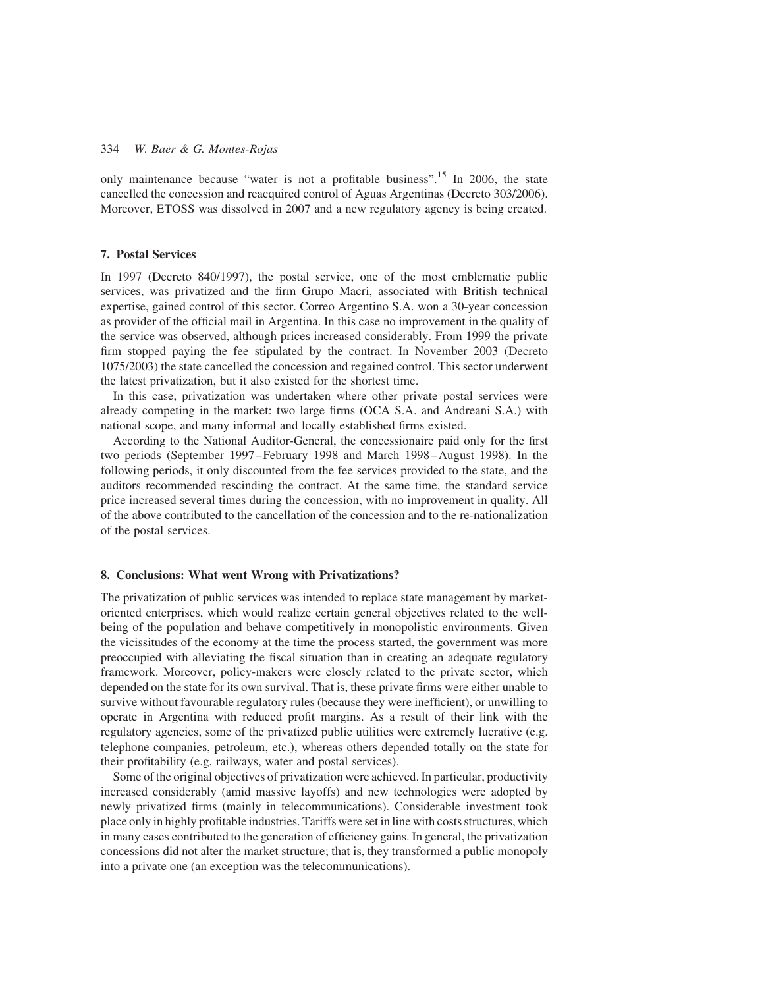only maintenance because "water is not a profitable business".<sup>15</sup> In 2006, the state cancelled the concession and reacquired control of Aguas Argentinas (Decreto 303/2006). Moreover, ETOSS was dissolved in 2007 and a new regulatory agency is being created.

# 7. Postal Services

In 1997 (Decreto 840/1997), the postal service, one of the most emblematic public services, was privatized and the firm Grupo Macri, associated with British technical expertise, gained control of this sector. Correo Argentino S.A. won a 30-year concession as provider of the official mail in Argentina. In this case no improvement in the quality of the service was observed, although prices increased considerably. From 1999 the private firm stopped paying the fee stipulated by the contract. In November 2003 (Decreto 1075/2003) the state cancelled the concession and regained control. This sector underwent the latest privatization, but it also existed for the shortest time.

In this case, privatization was undertaken where other private postal services were already competing in the market: two large firms (OCA S.A. and Andreani S.A.) with national scope, and many informal and locally established firms existed.

According to the National Auditor-General, the concessionaire paid only for the first two periods (September 1997–February 1998 and March 1998 –August 1998). In the following periods, it only discounted from the fee services provided to the state, and the auditors recommended rescinding the contract. At the same time, the standard service price increased several times during the concession, with no improvement in quality. All of the above contributed to the cancellation of the concession and to the re-nationalization of the postal services.

#### 8. Conclusions: What went Wrong with Privatizations?

The privatization of public services was intended to replace state management by marketoriented enterprises, which would realize certain general objectives related to the wellbeing of the population and behave competitively in monopolistic environments. Given the vicissitudes of the economy at the time the process started, the government was more preoccupied with alleviating the fiscal situation than in creating an adequate regulatory framework. Moreover, policy-makers were closely related to the private sector, which depended on the state for its own survival. That is, these private firms were either unable to survive without favourable regulatory rules (because they were inefficient), or unwilling to operate in Argentina with reduced profit margins. As a result of their link with the regulatory agencies, some of the privatized public utilities were extremely lucrative (e.g. telephone companies, petroleum, etc.), whereas others depended totally on the state for their profitability (e.g. railways, water and postal services).

Some of the original objectives of privatization were achieved. In particular, productivity increased considerably (amid massive layoffs) and new technologies were adopted by newly privatized firms (mainly in telecommunications). Considerable investment took place only in highly profitable industries. Tariffs were set in line with costs structures, which in many cases contributed to the generation of efficiency gains. In general, the privatization concessions did not alter the market structure; that is, they transformed a public monopoly into a private one (an exception was the telecommunications).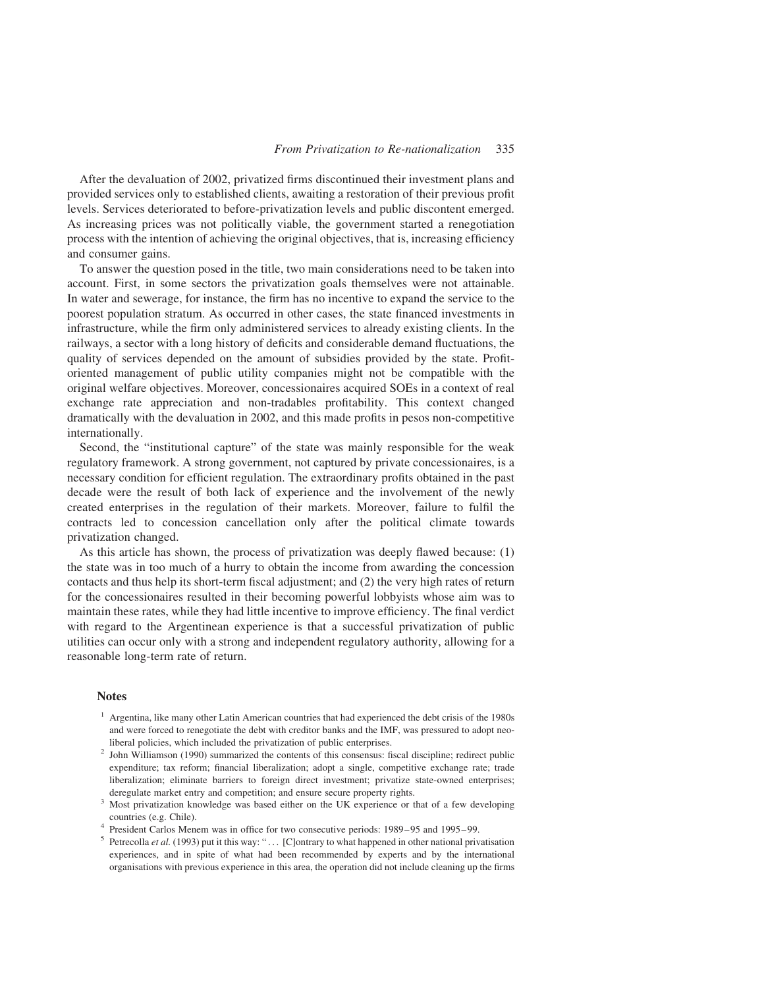After the devaluation of 2002, privatized firms discontinued their investment plans and provided services only to established clients, awaiting a restoration of their previous profit levels. Services deteriorated to before-privatization levels and public discontent emerged. As increasing prices was not politically viable, the government started a renegotiation process with the intention of achieving the original objectives, that is, increasing efficiency and consumer gains.

To answer the question posed in the title, two main considerations need to be taken into account. First, in some sectors the privatization goals themselves were not attainable. In water and sewerage, for instance, the firm has no incentive to expand the service to the poorest population stratum. As occurred in other cases, the state financed investments in infrastructure, while the firm only administered services to already existing clients. In the railways, a sector with a long history of deficits and considerable demand fluctuations, the quality of services depended on the amount of subsidies provided by the state. Profitoriented management of public utility companies might not be compatible with the original welfare objectives. Moreover, concessionaires acquired SOEs in a context of real exchange rate appreciation and non-tradables profitability. This context changed dramatically with the devaluation in 2002, and this made profits in pesos non-competitive internationally.

Second, the "institutional capture" of the state was mainly responsible for the weak regulatory framework. A strong government, not captured by private concessionaires, is a necessary condition for efficient regulation. The extraordinary profits obtained in the past decade were the result of both lack of experience and the involvement of the newly created enterprises in the regulation of their markets. Moreover, failure to fulfil the contracts led to concession cancellation only after the political climate towards privatization changed.

As this article has shown, the process of privatization was deeply flawed because: (1) the state was in too much of a hurry to obtain the income from awarding the concession contacts and thus help its short-term fiscal adjustment; and (2) the very high rates of return for the concessionaires resulted in their becoming powerful lobbyists whose aim was to maintain these rates, while they had little incentive to improve efficiency. The final verdict with regard to the Argentinean experience is that a successful privatization of public utilities can occur only with a strong and independent regulatory authority, allowing for a reasonable long-term rate of return.

#### **Notes**

- $<sup>1</sup>$  Argentina, like many other Latin American countries that had experienced the debt crisis of the 1980s</sup> and were forced to renegotiate the debt with creditor banks and the IMF, was pressured to adopt neo-
- liberal policies, which included the privatization of public enterprises. <sup>2</sup> John Williamson (1990) summarized the contents of this consensus: fiscal discipline; redirect public expenditure; tax reform; financial liberalization; adopt a single, competitive exchange rate; trade liberalization; eliminate barriers to foreign direct investment; privatize state-owned enterprises;
- deregulate market entry and competition; and ensure secure property rights.<br><sup>3</sup> Most privatization knowledge was based either on the UK experience or that of a few developing countries (e.g. Chile).<br><sup>4</sup> President Carlos Menem was in office for two consecutive periods: 1989–95 and 1995–99.
- 
- <sup>5</sup> Petrecolla et al. (1993) put it this way: " ... [C]ontrary to what happened in other national privatisation experiences, and in spite of what had been recommended by experts and by the international organisations with previous experience in this area, the operation did not include cleaning up the firms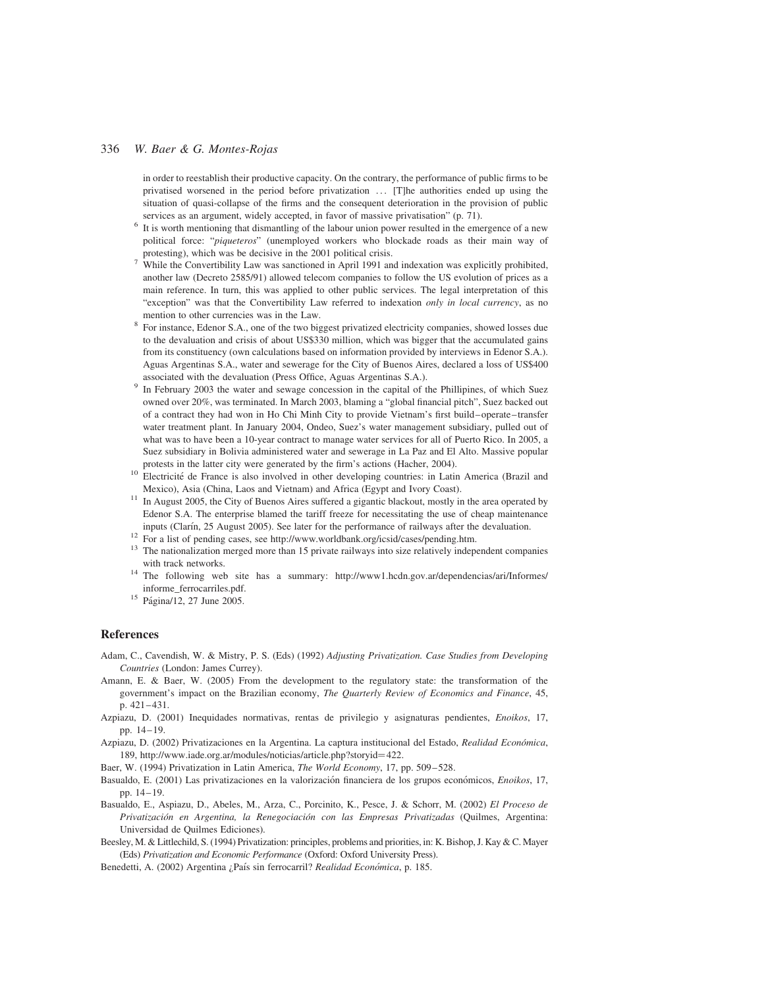in order to reestablish their productive capacity. On the contrary, the performance of public firms to be privatised worsened in the period before privatization ... [T]he authorities ended up using the situation of quasi-collapse of the firms and the consequent deterioration in the provision of public

- services as an argument, widely accepted, in favor of massive privatisation" (p. 71).<br><sup>6</sup> It is worth mentioning that dismantling of the labour union power resulted in the emergence of a new political force: "piqueteros" (unemployed workers who blockade roads as their main way of
- protesting), which was be decisive in the 2001 political crisis. <sup>7</sup> While the Convertibility Law was sanctioned in April 1991 and indexation was explicitly prohibited, another law (Decreto 2585/91) allowed telecom companies to follow the US evolution of prices as a main reference. In turn, this was applied to other public services. The legal interpretation of this "exception" was that the Convertibility Law referred to indexation only in local currency, as no
- mention to other currencies was in the Law.<br><sup>8</sup> For instance, Edenor S.A., one of the two biggest privatized electricity companies, showed losses due to the devaluation and crisis of about US\$330 million, which was bigger that the accumulated gains from its constituency (own calculations based on information provided by interviews in Edenor S.A.). Aguas Argentinas S.A., water and sewerage for the City of Buenos Aires, declared a loss of US\$400 associated with the devaluation (Press Office, Aguas Argentinas S.A.).
- <sup>9</sup> In February 2003 the water and sewage concession in the capital of the Phillipines, of which Suez owned over 20%, was terminated. In March 2003, blaming a "global financial pitch", Suez backed out of a contract they had won in Ho Chi Minh City to provide Vietnam's first build –operate–transfer water treatment plant. In January 2004, Ondeo, Suez's water management subsidiary, pulled out of what was to have been a 10-year contract to manage water services for all of Puerto Rico. In 2005, a Suez subsidiary in Bolivia administered water and sewerage in La Paz and El Alto. Massive popular
- protests in the latter city were generated by the firm's actions (Hacher, 2004).<br><sup>10</sup> Electricité de France is also involved in other developing countries: in Latin America (Brazil and Mexico), Asia (China, Laos and Vietna
- $11$  In August 2005, the City of Buenos Aires suffered a gigantic blackout, mostly in the area operated by Edenor S.A. The enterprise blamed the tariff freeze for necessitating the use of cheap maintenance
- 
- inputs (Clarín, 25 August 2005). See later for the performance of railways after the devaluation.<br><sup>12</sup> For a list of pending cases, see http://www.worldbank.org/icsid/cases/pending.htm.<br><sup>13</sup> The nationalization merged more with track networks.
- <sup>14</sup> The following web site has a summary: http://www1.hcdn.gov.ar/dependencias/ari/Informes/ informe\_ferrocarriles.pdf.<br><sup>15</sup> Página/12, 27 June 2005.
- 

#### References

- Adam, C., Cavendish, W. & Mistry, P. S. (Eds) (1992) Adjusting Privatization. Case Studies from Developing Countries (London: James Currey).
- Amann, E. & Baer, W. (2005) From the development to the regulatory state: the transformation of the government's impact on the Brazilian economy, The Quarterly Review of Economics and Finance, 45, p. 421 –431.
- Azpiazu, D. (2001) Inequidades normativas, rentas de privilegio y asignaturas pendientes, Enoikos, 17, pp. 14 –19.
- Azpiazu, D. (2002) Privatizaciones en la Argentina. La captura institucional del Estado, Realidad Económica, 189, http://www.iade.org.ar/modules/noticias/article.php?storyid=422.
- Baer, W. (1994) Privatization in Latin America, The World Economy, 17, pp. 509–528.
- Basualdo, E. (2001) Las privatizaciones en la valorización financiera de los grupos económicos, Enoikos, 17, pp. 14 –19.
- Basualdo, E., Aspiazu, D., Abeles, M., Arza, C., Porcinito, K., Pesce, J. & Schorr, M. (2002) El Proceso de Privatización en Argentina, la Renegociación con las Empresas Privatizadas (Quilmes, Argentina: Universidad de Quilmes Ediciones).
- Beesley, M. & Littlechild, S. (1994) Privatization: principles, problems and priorities, in: K. Bishop, J. Kay & C. Mayer (Eds) Privatization and Economic Performance (Oxford: Oxford University Press).
- Benedetti, A. (2002) Argentina ¿País sin ferrocarril? Realidad Económica, p. 185.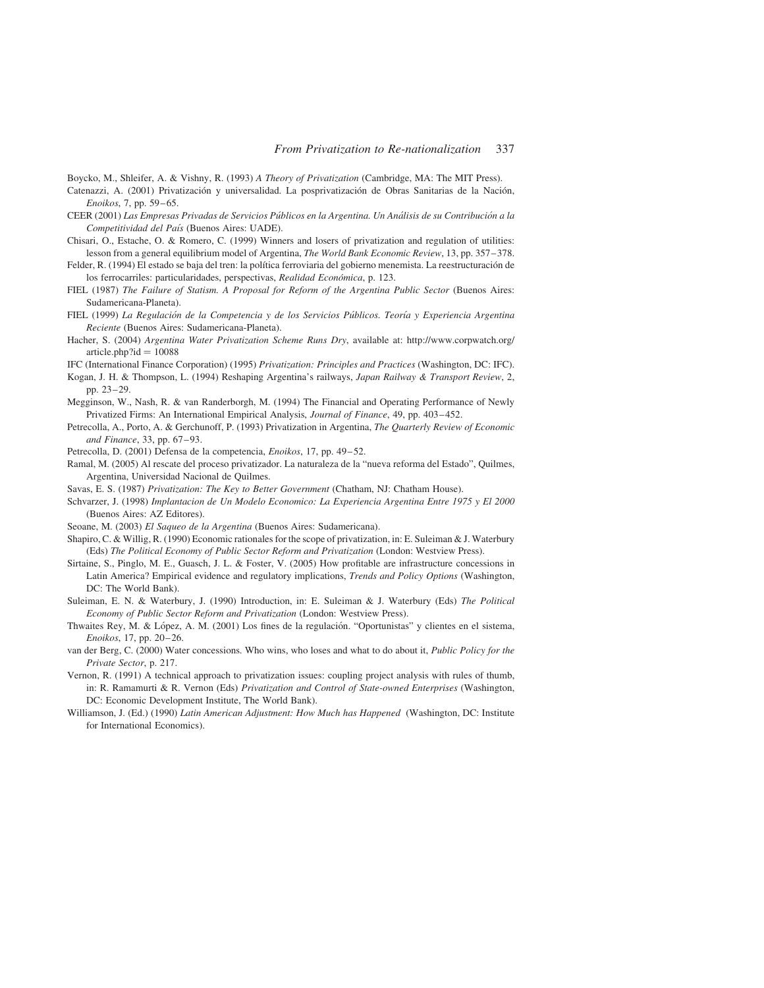Boycko, M., Shleifer, A. & Vishny, R. (1993) A Theory of Privatization (Cambridge, MA: The MIT Press).

- Catenazzi, A. (2001) Privatización y universalidad. La posprivatización de Obras Sanitarias de la Nación, Enoikos, 7, pp. 59–65.
- CEER (2001) Las Empresas Privadas de Servicios Públicos en la Argentina. Un Análisis de su Contribución a la Competitividad del Paı´s (Buenos Aires: UADE).
- Chisari, O., Estache, O. & Romero, C. (1999) Winners and losers of privatization and regulation of utilities: lesson from a general equilibrium model of Argentina, The World Bank Economic Review, 13, pp. 357–378.
- Felder, R. (1994) El estado se baja del tren: la política ferroviaria del gobierno menemista. La reestructuración de los ferrocarriles: particularidades, perspectivas, Realidad Económica, p. 123.
- FIEL (1987) The Failure of Statism. A Proposal for Reform of the Argentina Public Sector (Buenos Aires: Sudamericana-Planeta).
- FIEL (1999) La Regulación de la Competencia y de los Servicios Públicos. Teoría y Experiencia Argentina Reciente (Buenos Aires: Sudamericana-Planeta).
- Hacher, S. (2004) Argentina Water Privatization Scheme Runs Dry, available at: http://www.corpwatch.org/ article.php?id  $= 10088$
- IFC (International Finance Corporation) (1995) Privatization: Principles and Practices (Washington, DC: IFC). Kogan, J. H. & Thompson, L. (1994) Reshaping Argentina's railways, Japan Railway & Transport Review, 2,
- Megginson, W., Nash, R. & van Randerborgh, M. (1994) The Financial and Operating Performance of Newly Privatized Firms: An International Empirical Analysis, Journal of Finance, 49, pp. 403 –452.
- Petrecolla, A., Porto, A. & Gerchunoff, P. (1993) Privatization in Argentina, The Quarterly Review of Economic and Finance, 33, pp. 67-93.
- Petrecolla, D. (2001) Defensa de la competencia, Enoikos, 17, pp. 49–52.

pp. 23–29.

- Ramal, M. (2005) Al rescate del proceso privatizador. La naturaleza de la "nueva reforma del Estado", Quilmes, Argentina, Universidad Nacional de Quilmes.
- Savas, E. S. (1987) Privatization: The Key to Better Government (Chatham, NJ: Chatham House).
- Schvarzer, J. (1998) Implantacion de Un Modelo Economico: La Experiencia Argentina Entre 1975 y El 2000 (Buenos Aires: AZ Editores).
- Seoane, M. (2003) El Saqueo de la Argentina (Buenos Aires: Sudamericana).
- Shapiro, C. & Willig, R. (1990) Economic rationales for the scope of privatization, in: E. Suleiman & J. Waterbury (Eds) The Political Economy of Public Sector Reform and Privatization (London: Westview Press).
- Sirtaine, S., Pinglo, M. E., Guasch, J. L. & Foster, V. (2005) How profitable are infrastructure concessions in Latin America? Empirical evidence and regulatory implications, Trends and Policy Options (Washington, DC: The World Bank).
- Suleiman, E. N. & Waterbury, J. (1990) Introduction, in: E. Suleiman & J. Waterbury (Eds) The Political Economy of Public Sector Reform and Privatization (London: Westview Press).
- Thwaites Rey, M. & López, A. M. (2001) Los fines de la regulación. "Oportunistas" y clientes en el sistema, Enoikos, 17, pp. 20–26.
- van der Berg, C. (2000) Water concessions. Who wins, who loses and what to do about it, Public Policy for the Private Sector, p. 217.
- Vernon, R. (1991) A technical approach to privatization issues: coupling project analysis with rules of thumb, in: R. Ramamurti & R. Vernon (Eds) Privatization and Control of State-owned Enterprises (Washington, DC: Economic Development Institute, The World Bank).
- Williamson, J. (Ed.) (1990) Latin American Adjustment: How Much has Happened (Washington, DC: Institute for International Economics).